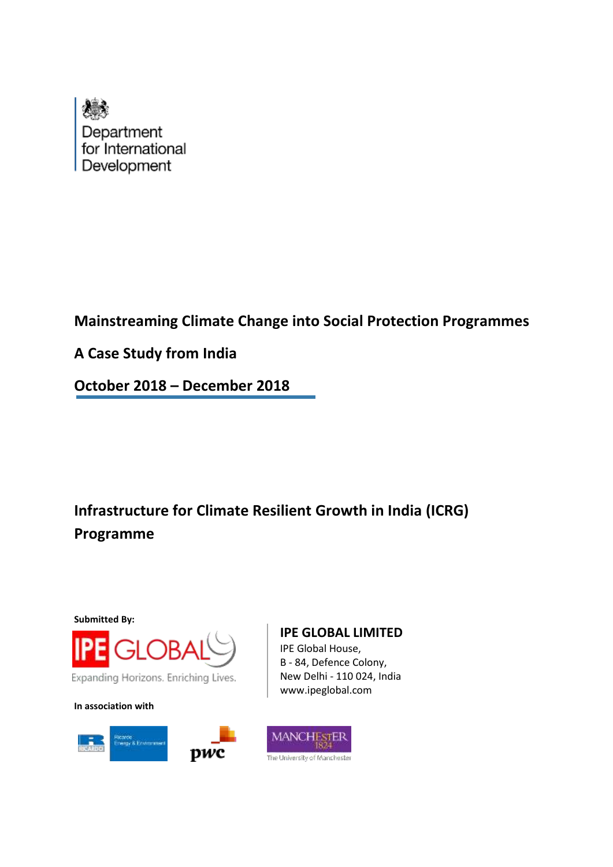

**Mainstreaming Climate Change into Social Protection Programmes**

**A Case Study from India**

**October 2018 – December 2018**

**Infrastructure for Climate Resilient Growth in India (ICRG) Programme**

**Submitted By:**



**In association with**



# **IPE GLOBAL LIMITED**

IPE Global House, B - 84, Defence Colony, New Delhi - 110 024, India www.ipeglobal.com

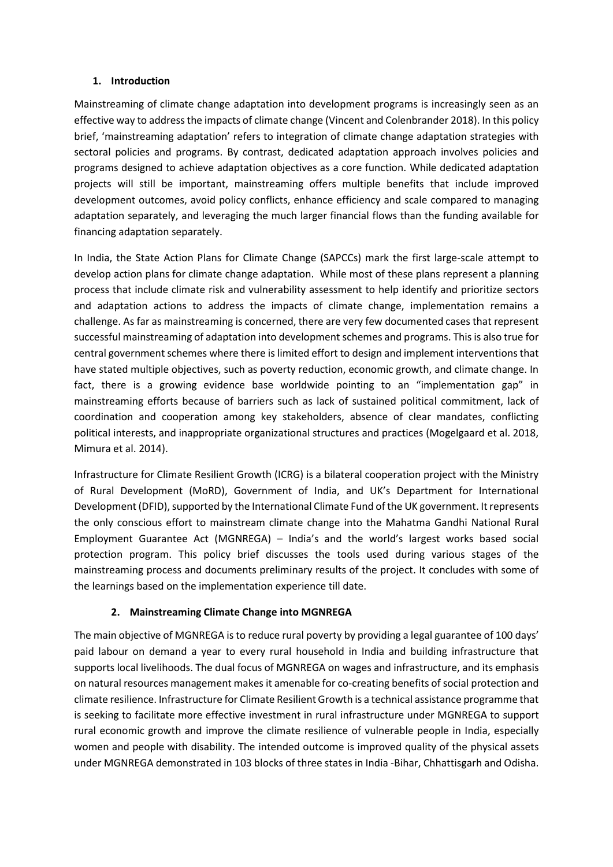### **1. Introduction**

Mainstreaming of climate change adaptation into development programs is increasingly seen as an effective way to addressthe impacts of climate change (Vincent and Colenbrander 2018). In this policy brief, 'mainstreaming adaptation' refers to integration of climate change adaptation strategies with sectoral policies and programs. By contrast, dedicated adaptation approach involves policies and programs designed to achieve adaptation objectives as a core function. While dedicated adaptation projects will still be important, mainstreaming offers multiple benefits that include improved development outcomes, avoid policy conflicts, enhance efficiency and scale compared to managing adaptation separately, and leveraging the much larger financial flows than the funding available for financing adaptation separately.

In India, the State Action Plans for Climate Change (SAPCCs) mark the first large-scale attempt to develop action plans for climate change adaptation. While most of these plans represent a planning process that include climate risk and vulnerability assessment to help identify and prioritize sectors and adaptation actions to address the impacts of climate change, implementation remains a challenge. As far as mainstreaming is concerned, there are very few documented cases that represent successful mainstreaming of adaptation into development schemes and programs. This is also true for central government schemes where there is limited effort to design and implement interventions that have stated multiple objectives, such as poverty reduction, economic growth, and climate change. In fact, there is a growing evidence base worldwide pointing to an "implementation gap" in mainstreaming efforts because of barriers such as lack of sustained political commitment, lack of coordination and cooperation among key stakeholders, absence of clear mandates, conflicting political interests, and inappropriate organizational structures and practices (Mogelgaard et al. 2018, Mimura et al. 2014).

Infrastructure for Climate Resilient Growth (ICRG) is a bilateral cooperation project with the Ministry of Rural Development (MoRD), Government of India, and UK's Department for International Development (DFID), supported by the International Climate Fund of the UK government. It represents the only conscious effort to mainstream climate change into the Mahatma Gandhi National Rural Employment Guarantee Act (MGNREGA) – India's and the world's largest works based social protection program. This policy brief discusses the tools used during various stages of the mainstreaming process and documents preliminary results of the project. It concludes with some of the learnings based on the implementation experience till date.

### **2. Mainstreaming Climate Change into MGNREGA**

The main objective of MGNREGA is to reduce rural poverty by providing a legal guarantee of 100 days' paid labour on demand a year to every rural household in India and building infrastructure that supports local livelihoods. The dual focus of MGNREGA on wages and infrastructure, and its emphasis on natural resources management makes it amenable for co-creating benefits of social protection and climate resilience. Infrastructure for Climate Resilient Growth is a technical assistance programme that is seeking to facilitate more effective investment in rural infrastructure under MGNREGA to support rural economic growth and improve the climate resilience of vulnerable people in India, especially women and people with disability. The intended outcome is improved quality of the physical assets under MGNREGA demonstrated in 103 blocks of three states in India -Bihar, Chhattisgarh and Odisha.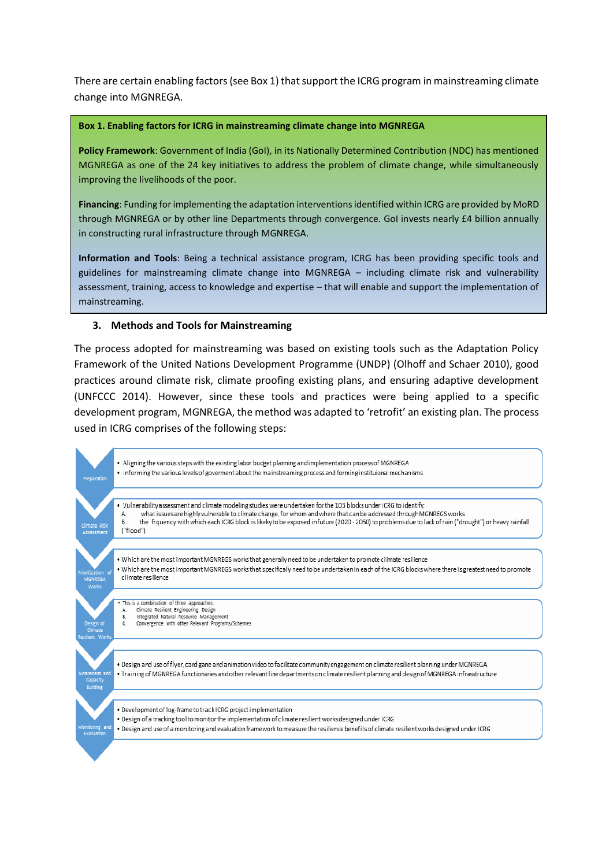There are certain enabling factors (see Box 1) that support the ICRG program in mainstreaming climate change into MGNREGA.

#### **Box 1. Enabling factors for ICRG in mainstreaming climate change into MGNREGA**

**Policy Framework**: Government of India (GoI), in its Nationally Determined Contribution (NDC) has mentioned MGNREGA as one of the 24 key initiatives to address the problem of climate change, while simultaneously improving the livelihoods of the poor.

**Financing**: Funding for implementing the adaptation interventions identified within ICRG are provided by MoRD through MGNREGA or by other line Departments through convergence. GoI invests nearly £4 billion annually in constructing rural infrastructure through MGNREGA.

**Information and Tools**: Being a technical assistance program, ICRG has been providing specific tools and guidelines for mainstreaming climate change into MGNREGA – including climate risk and vulnerability assessment, training, access to knowledge and expertise – that will enable and support the implementation of mainstreaming.

#### **3. Methods and Tools for Mainstreaming**

The process adopted for mainstreaming was based on existing tools such as the Adaptation Policy Framework of the United Nations Development Programme (UNDP) (Olhoff and Schaer 2010), good practices around climate risk, climate proofing existing plans, and ensuring adaptive development (UNFCCC 2014). However, since these tools and practices were being applied to a specific development program, MGNREGA, the method was adapted to 'retrofit' an existing plan. The process used in ICRG comprises of the following steps:

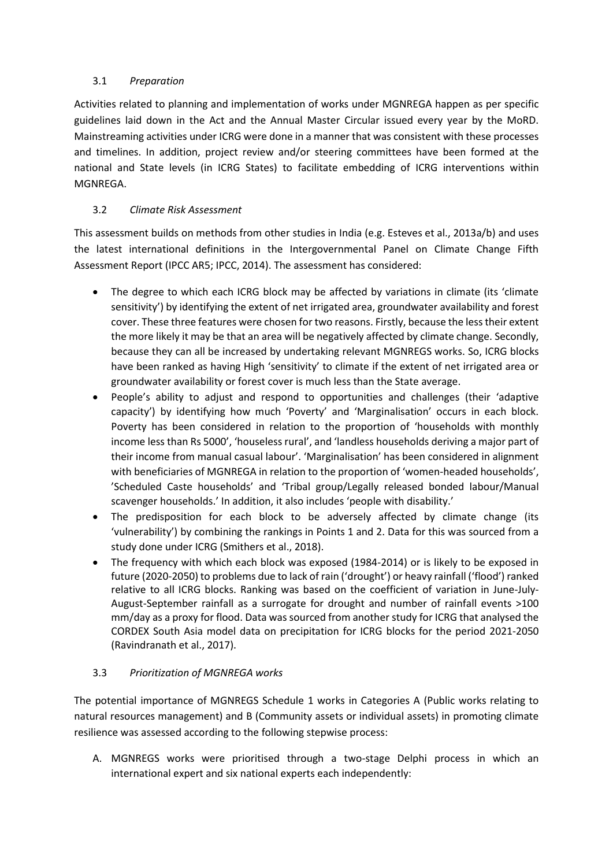## 3.1 *Preparation*

Activities related to planning and implementation of works under MGNREGA happen as per specific guidelines laid down in the Act and the Annual Master Circular issued every year by the MoRD. Mainstreaming activities under ICRG were done in a manner that was consistent with these processes and timelines. In addition, project review and/or steering committees have been formed at the national and State levels (in ICRG States) to facilitate embedding of ICRG interventions within MGNREGA.

# 3.2 *Climate Risk Assessment*

This assessment builds on methods from other studies in India (e.g. Esteves et al., 2013a/b) and uses the latest international definitions in the Intergovernmental Panel on Climate Change Fifth Assessment Report (IPCC AR5; IPCC, 2014). The assessment has considered:

- The degree to which each ICRG block may be affected by variations in climate (its 'climate sensitivity') by identifying the extent of net irrigated area, groundwater availability and forest cover. These three features were chosen for two reasons. Firstly, because the less their extent the more likely it may be that an area will be negatively affected by climate change. Secondly, because they can all be increased by undertaking relevant MGNREGS works. So, ICRG blocks have been ranked as having High 'sensitivity' to climate if the extent of net irrigated area or groundwater availability or forest cover is much less than the State average.
- People's ability to adjust and respond to opportunities and challenges (their 'adaptive capacity') by identifying how much 'Poverty' and 'Marginalisation' occurs in each block. Poverty has been considered in relation to the proportion of 'households with monthly income less than Rs 5000', 'houseless rural', and 'landless households deriving a major part of their income from manual casual labour'. 'Marginalisation' has been considered in alignment with beneficiaries of MGNREGA in relation to the proportion of 'women-headed households', 'Scheduled Caste households' and 'Tribal group/Legally released bonded labour/Manual scavenger households.' In addition, it also includes 'people with disability.'
- The predisposition for each block to be adversely affected by climate change (its 'vulnerability') by combining the rankings in Points 1 and 2. Data for this was sourced from a study done under ICRG (Smithers et al., 2018).
- The frequency with which each block was exposed (1984-2014) or is likely to be exposed in future (2020-2050) to problems due to lack of rain ('drought') or heavy rainfall ('flood') ranked relative to all ICRG blocks. Ranking was based on the coefficient of variation in June-July-August-September rainfall as a surrogate for drought and number of rainfall events >100 mm/day as a proxy for flood. Data was sourced from another study for ICRG that analysed the CORDEX South Asia model data on precipitation for ICRG blocks for the period 2021-2050 (Ravindranath et al., 2017).

### 3.3 *Prioritization of MGNREGA works*

The potential importance of MGNREGS Schedule 1 works in Categories A (Public works relating to natural resources management) and B (Community assets or individual assets) in promoting climate resilience was assessed according to the following stepwise process:

A. MGNREGS works were prioritised through a two-stage Delphi process in which an international expert and six national experts each independently: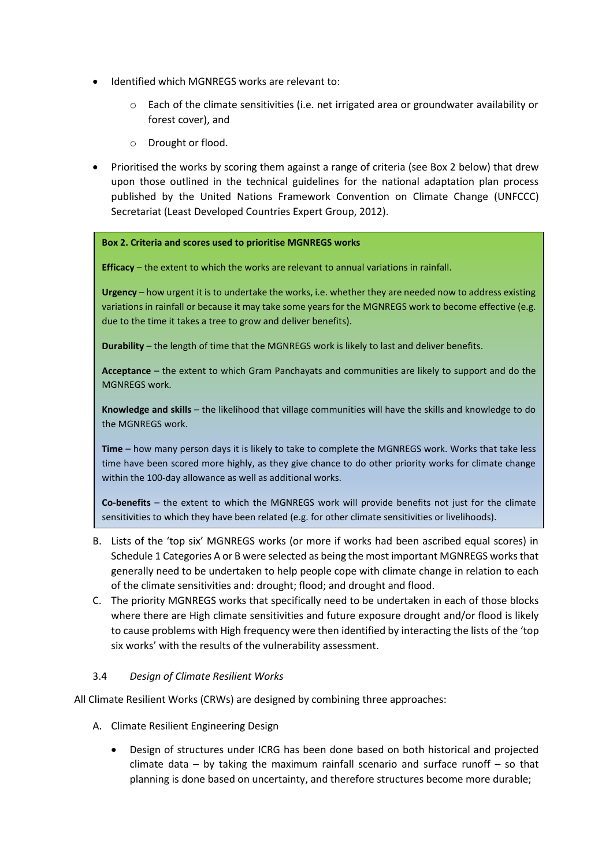- Identified which MGNREGS works are relevant to:
	- $\circ$  Each of the climate sensitivities (i.e. net irrigated area or groundwater availability or forest cover), and
	- o Drought or flood.
- Prioritised the works by scoring them against a range of criteria (see Box 2 below) that drew upon those outlined in the technical guidelines for the national adaptation plan process published by the United Nations Framework Convention on Climate Change (UNFCCC) Secretariat (Least Developed Countries Expert Group, 2012).

#### **Box 2. Criteria and scores used to prioritise MGNREGS works**

**Efficacy** – the extent to which the works are relevant to annual variations in rainfall.

**Urgency** – how urgent it is to undertake the works, i.e. whether they are needed now to address existing variations in rainfall or because it may take some years for the MGNREGS work to become effective (e.g. due to the time it takes a tree to grow and deliver benefits).

**Durability** – the length of time that the MGNREGS work is likely to last and deliver benefits.

**Acceptance** – the extent to which Gram Panchayats and communities are likely to support and do the MGNREGS work.

**Knowledge and skills** – the likelihood that village communities will have the skills and knowledge to do the MGNREGS work.

**Time** – how many person days it is likely to take to complete the MGNREGS work. Works that take less time have been scored more highly, as they give chance to do other priority works for climate change within the 100-day allowance as well as additional works.

**Co-benefits** – the extent to which the MGNREGS work will provide benefits not just for the climate sensitivities to which they have been related (e.g. for other climate sensitivities or livelihoods).

- B. Lists of the 'top six' MGNREGS works (or more if works had been ascribed equal scores) in Schedule 1 Categories A or B were selected as being the most important MGNREGS works that generally need to be undertaken to help people cope with climate change in relation to each of the climate sensitivities and: drought; flood; and drought and flood.
- C. The priority MGNREGS works that specifically need to be undertaken in each of those blocks where there are High climate sensitivities and future exposure drought and/or flood is likely to cause problems with High frequency were then identified by interacting the lists of the 'top six works' with the results of the vulnerability assessment.

### 3.4 *Design of Climate Resilient Works*

All Climate Resilient Works (CRWs) are designed by combining three approaches:

- A. Climate Resilient Engineering Design
	- Design of structures under ICRG has been done based on both historical and projected climate data  $-$  by taking the maximum rainfall scenario and surface runoff  $-$  so that planning is done based on uncertainty, and therefore structures become more durable;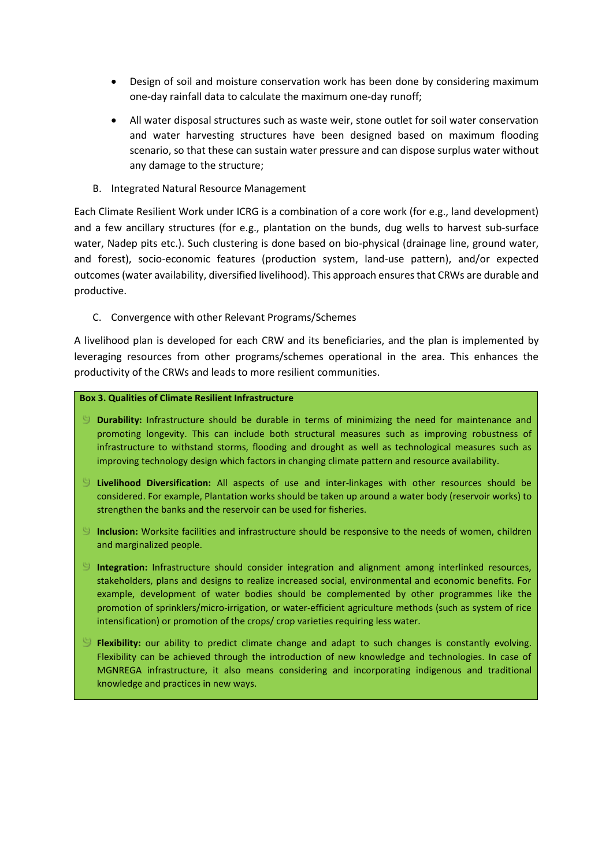- Design of soil and moisture conservation work has been done by considering maximum one-day rainfall data to calculate the maximum one-day runoff;
- All water disposal structures such as waste weir, stone outlet for soil water conservation and water harvesting structures have been designed based on maximum flooding scenario, so that these can sustain water pressure and can dispose surplus water without any damage to the structure;
- B. Integrated Natural Resource Management

Each Climate Resilient Work under ICRG is a combination of a core work (for e.g., land development) and a few ancillary structures (for e.g., plantation on the bunds, dug wells to harvest sub-surface water, Nadep pits etc.). Such clustering is done based on bio-physical (drainage line, ground water, and forest), socio-economic features (production system, land-use pattern), and/or expected outcomes (water availability, diversified livelihood). This approach ensures that CRWs are durable and productive.

C. Convergence with other Relevant Programs/Schemes

A livelihood plan is developed for each CRW and its beneficiaries, and the plan is implemented by leveraging resources from other programs/schemes operational in the area. This enhances the productivity of the CRWs and leads to more resilient communities.

### **Box 3. Qualities of Climate Resilient Infrastructure**

- **Durability:** Infrastructure should be durable in terms of minimizing the need for maintenance and promoting longevity. This can include both structural measures such as improving robustness of infrastructure to withstand storms, flooding and drought as well as technological measures such as improving technology design which factors in changing climate pattern and resource availability.
- **Livelihood Diversification:** All aspects of use and inter-linkages with other resources should be considered. For example, Plantation works should be taken up around a water body (reservoir works) to strengthen the banks and the reservoir can be used for fisheries.
- **Inclusion:** Worksite facilities and infrastructure should be responsive to the needs of women, children and marginalized people.
- **Integration:** Infrastructure should consider integration and alignment among interlinked resources, stakeholders, plans and designs to realize increased social, environmental and economic benefits. For example, development of water bodies should be complemented by other programmes like the promotion of sprinklers/micro-irrigation, or water-efficient agriculture methods (such as system of rice intensification) or promotion of the crops/ crop varieties requiring less water.
- **Flexibility:** our ability to predict climate change and adapt to such changes is constantly evolving. Flexibility can be achieved through the introduction of new knowledge and technologies. In case of MGNREGA infrastructure, it also means considering and incorporating indigenous and traditional knowledge and practices in new ways.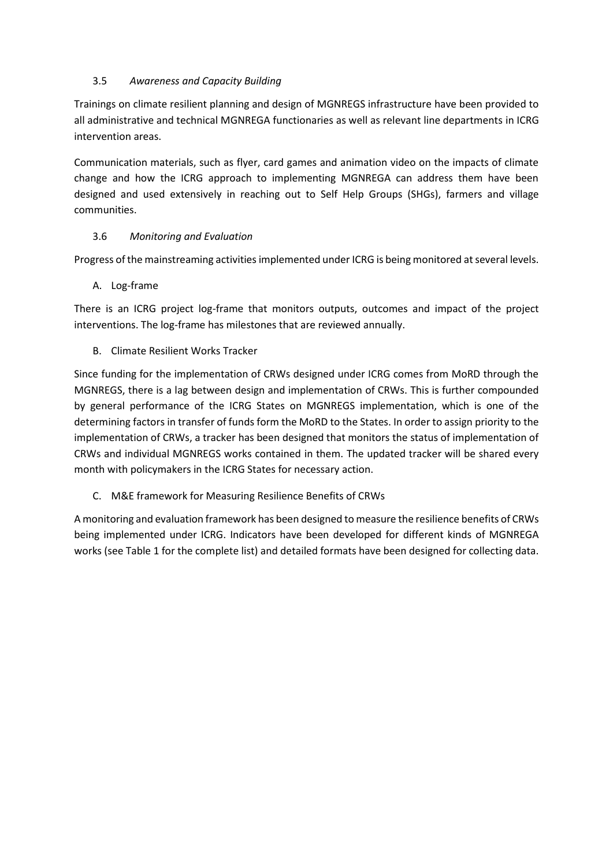# 3.5 *Awareness and Capacity Building*

Trainings on climate resilient planning and design of MGNREGS infrastructure have been provided to all administrative and technical MGNREGA functionaries as well as relevant line departments in ICRG intervention areas.

Communication materials, such as flyer, card games and animation video on the impacts of climate change and how the ICRG approach to implementing MGNREGA can address them have been designed and used extensively in reaching out to Self Help Groups (SHGs), farmers and village communities.

## 3.6 *Monitoring and Evaluation*

Progress of the mainstreaming activities implemented under ICRG is being monitored at several levels.

## A. Log-frame

There is an ICRG project log-frame that monitors outputs, outcomes and impact of the project interventions. The log-frame has milestones that are reviewed annually.

## B. Climate Resilient Works Tracker

Since funding for the implementation of CRWs designed under ICRG comes from MoRD through the MGNREGS, there is a lag between design and implementation of CRWs. This is further compounded by general performance of the ICRG States on MGNREGS implementation, which is one of the determining factors in transfer of funds form the MoRD to the States. In order to assign priority to the implementation of CRWs, a tracker has been designed that monitors the status of implementation of CRWs and individual MGNREGS works contained in them. The updated tracker will be shared every month with policymakers in the ICRG States for necessary action.

C. M&E framework for Measuring Resilience Benefits of CRWs

A monitoring and evaluation framework has been designed to measure the resilience benefits of CRWs being implemented under ICRG. Indicators have been developed for different kinds of MGNREGA works (see Table 1 for the complete list) and detailed formats have been designed for collecting data.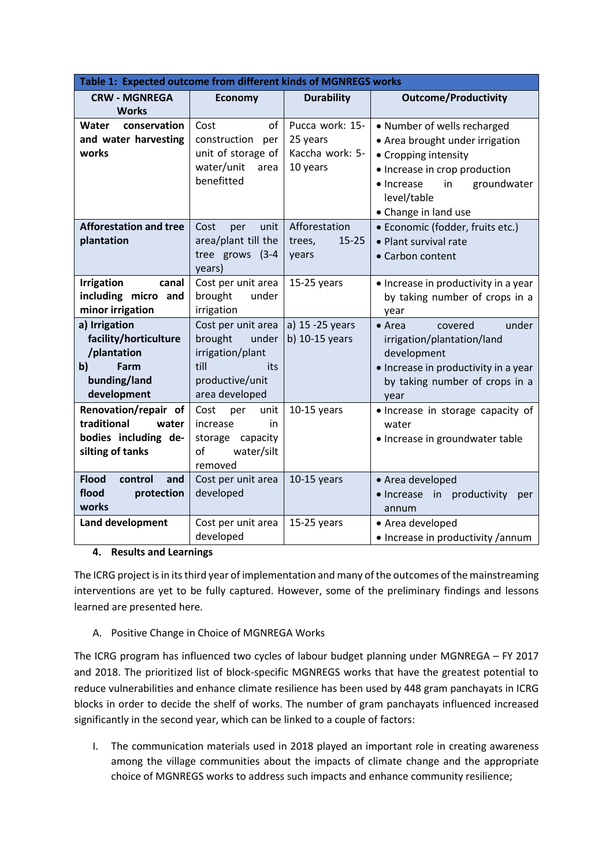| Table 1: Expected outcome from different kinds of MGNREGS works |                     |                     |                                                 |
|-----------------------------------------------------------------|---------------------|---------------------|-------------------------------------------------|
| <b>CRW - MGNREGA</b>                                            | <b>Economy</b>      | <b>Durability</b>   | <b>Outcome/Productivity</b>                     |
| <b>Works</b>                                                    |                     |                     |                                                 |
| Water<br>conservation                                           | of<br>Cost          | Pucca work: 15-     | • Number of wells recharged                     |
| and water harvesting                                            | construction per    | 25 years            | • Area brought under irrigation                 |
| works                                                           | unit of storage of  | Kaccha work: 5-     | • Cropping intensity                            |
|                                                                 | water/unit<br>area  | 10 years            | • Increase in crop production                   |
|                                                                 | benefitted          |                     | groundwater<br>in<br>• Increase                 |
|                                                                 |                     |                     | level/table                                     |
|                                                                 |                     |                     | • Change in land use                            |
| <b>Afforestation and tree</b>                                   | Cost<br>unit<br>per | Afforestation       | • Economic (fodder, fruits etc.)                |
| plantation                                                      | area/plant till the | $15 - 25$<br>trees, | • Plant survival rate                           |
|                                                                 | tree grows (3-4     | years               | • Carbon content                                |
|                                                                 | years)              |                     |                                                 |
| <b>Irrigation</b><br>canal                                      | Cost per unit area  | $15-25$ years       | • Increase in productivity in a year            |
| including micro and                                             | brought<br>under    |                     | by taking number of crops in a                  |
| minor irrigation                                                | irrigation          |                     | year                                            |
| a) Irrigation                                                   | Cost per unit area  | a) 15 - 25 years    | under<br>$\bullet$ Area<br>covered              |
| facility/horticulture                                           | brought<br>under    | b) $10-15$ years    | irrigation/plantation/land                      |
| /plantation                                                     | irrigation/plant    |                     | development                                     |
| $\mathbf{b}$<br>Farm                                            | till<br>its         |                     | · Increase in productivity in a year            |
| bunding/land                                                    | productive/unit     |                     | by taking number of crops in a                  |
| development                                                     | area developed      |                     | year                                            |
| Renovation/repair of                                            | Cost<br>unit<br>per | $10-15$ years       | • Increase in storage capacity of               |
| traditional<br>water                                            | increase<br>in      |                     | water                                           |
| bodies including de-                                            | storage capacity    |                     | • Increase in groundwater table                 |
| silting of tanks                                                | of<br>water/silt    |                     |                                                 |
|                                                                 | removed             |                     |                                                 |
| <b>Flood</b><br>control<br>and                                  | Cost per unit area  | $10-15$ years       | • Area developed                                |
| flood<br>protection                                             | developed           |                     | in<br>productivity<br>$\bullet$ Increase<br>per |
| works                                                           |                     |                     | annum                                           |
| Land development                                                | Cost per unit area  | $15-25$ years       | • Area developed                                |
|                                                                 | developed           |                     | • Increase in productivity / annum              |

### **4. Results and Learnings**

The ICRG project is in its third year of implementation and many of the outcomes of the mainstreaming interventions are yet to be fully captured. However, some of the preliminary findings and lessons learned are presented here.

# A. Positive Change in Choice of MGNREGA Works

The ICRG program has influenced two cycles of labour budget planning under MGNREGA – FY 2017 and 2018. The prioritized list of block-specific MGNREGS works that have the greatest potential to reduce vulnerabilities and enhance climate resilience has been used by 448 gram panchayats in ICRG blocks in order to decide the shelf of works. The number of gram panchayats influenced increased significantly in the second year, which can be linked to a couple of factors:

I. The communication materials used in 2018 played an important role in creating awareness among the village communities about the impacts of climate change and the appropriate choice of MGNREGS works to address such impacts and enhance community resilience;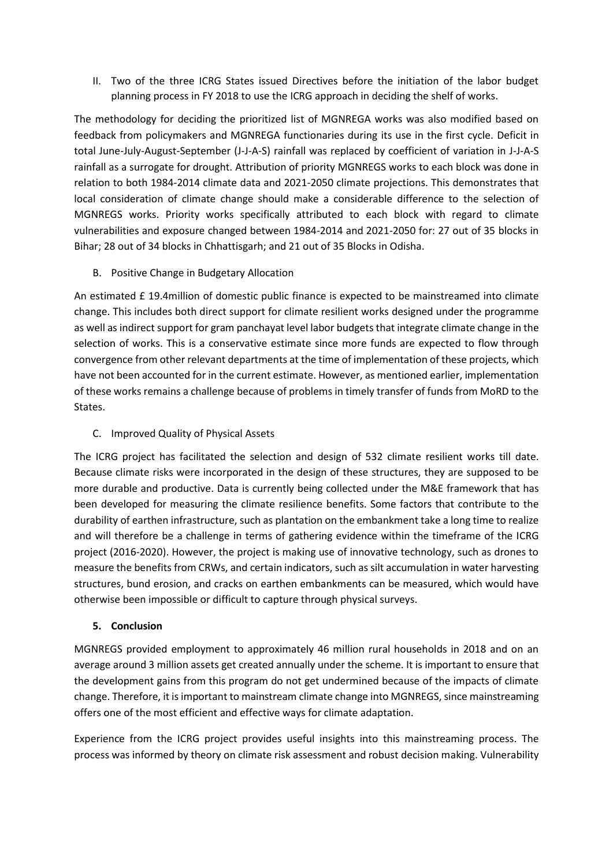II. Two of the three ICRG States issued Directives before the initiation of the labor budget planning process in FY 2018 to use the ICRG approach in deciding the shelf of works.

The methodology for deciding the prioritized list of MGNREGA works was also modified based on feedback from policymakers and MGNREGA functionaries during its use in the first cycle. Deficit in total June-July-August-September (J-J-A-S) rainfall was replaced by coefficient of variation in J-J-A-S rainfall as a surrogate for drought. Attribution of priority MGNREGS works to each block was done in relation to both 1984-2014 climate data and 2021-2050 climate projections. This demonstrates that local consideration of climate change should make a considerable difference to the selection of MGNREGS works. Priority works specifically attributed to each block with regard to climate vulnerabilities and exposure changed between 1984-2014 and 2021-2050 for: 27 out of 35 blocks in Bihar; 28 out of 34 blocks in Chhattisgarh; and 21 out of 35 Blocks in Odisha.

B. Positive Change in Budgetary Allocation

An estimated £ 19.4million of domestic public finance is expected to be mainstreamed into climate change. This includes both direct support for climate resilient works designed under the programme as well as indirect support for gram panchayat level labor budgets that integrate climate change in the selection of works. This is a conservative estimate since more funds are expected to flow through convergence from other relevant departments at the time of implementation of these projects, which have not been accounted for in the current estimate. However, as mentioned earlier, implementation of these works remains a challenge because of problems in timely transfer of funds from MoRD to the States.

C. Improved Quality of Physical Assets

The ICRG project has facilitated the selection and design of 532 climate resilient works till date. Because climate risks were incorporated in the design of these structures, they are supposed to be more durable and productive. Data is currently being collected under the M&E framework that has been developed for measuring the climate resilience benefits. Some factors that contribute to the durability of earthen infrastructure, such as plantation on the embankment take a long time to realize and will therefore be a challenge in terms of gathering evidence within the timeframe of the ICRG project (2016-2020). However, the project is making use of innovative technology, such as drones to measure the benefits from CRWs, and certain indicators, such as silt accumulation in water harvesting structures, bund erosion, and cracks on earthen embankments can be measured, which would have otherwise been impossible or difficult to capture through physical surveys.

### **5. Conclusion**

MGNREGS provided employment to approximately 46 million rural households in 2018 and on an average around 3 million assets get created annually under the scheme. It is important to ensure that the development gains from this program do not get undermined because of the impacts of climate change. Therefore, it is important to mainstream climate change into MGNREGS, since mainstreaming offers one of the most efficient and effective ways for climate adaptation.

Experience from the ICRG project provides useful insights into this mainstreaming process. The process was informed by theory on climate risk assessment and robust decision making. Vulnerability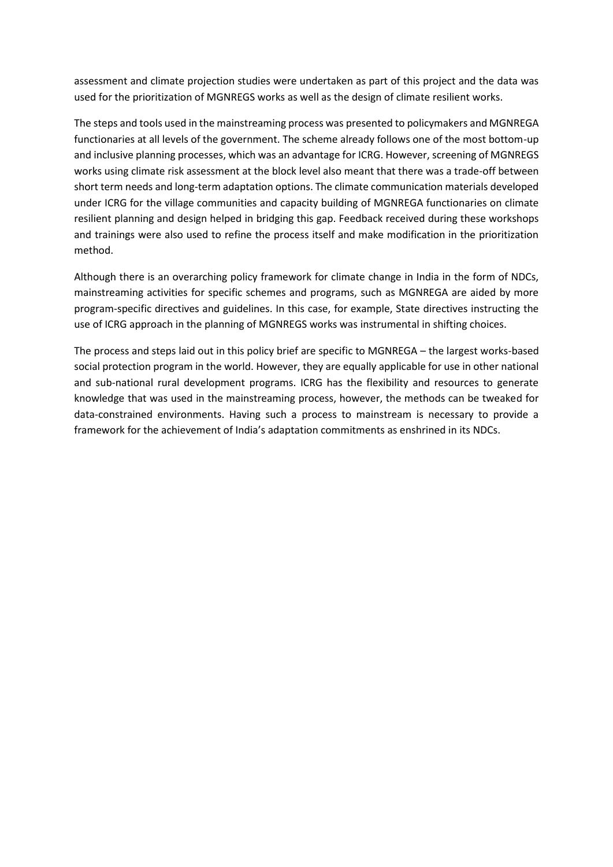assessment and climate projection studies were undertaken as part of this project and the data was used for the prioritization of MGNREGS works as well as the design of climate resilient works.

The steps and tools used in the mainstreaming process was presented to policymakers and MGNREGA functionaries at all levels of the government. The scheme already follows one of the most bottom-up and inclusive planning processes, which was an advantage for ICRG. However, screening of MGNREGS works using climate risk assessment at the block level also meant that there was a trade-off between short term needs and long-term adaptation options. The climate communication materials developed under ICRG for the village communities and capacity building of MGNREGA functionaries on climate resilient planning and design helped in bridging this gap. Feedback received during these workshops and trainings were also used to refine the process itself and make modification in the prioritization method.

Although there is an overarching policy framework for climate change in India in the form of NDCs, mainstreaming activities for specific schemes and programs, such as MGNREGA are aided by more program-specific directives and guidelines. In this case, for example, State directives instructing the use of ICRG approach in the planning of MGNREGS works was instrumental in shifting choices.

The process and steps laid out in this policy brief are specific to MGNREGA – the largest works-based social protection program in the world. However, they are equally applicable for use in other national and sub-national rural development programs. ICRG has the flexibility and resources to generate knowledge that was used in the mainstreaming process, however, the methods can be tweaked for data-constrained environments. Having such a process to mainstream is necessary to provide a framework for the achievement of India's adaptation commitments as enshrined in its NDCs.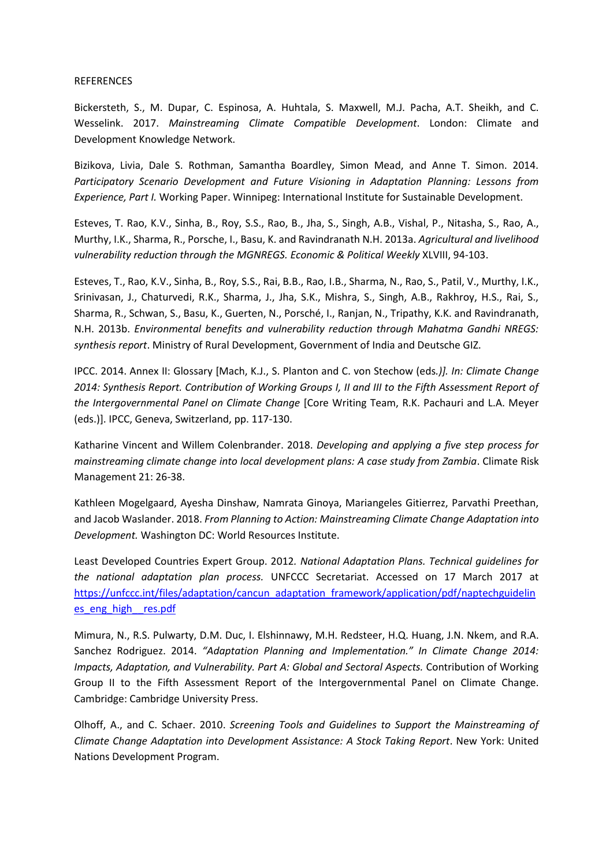#### REFERENCES

Bickersteth, S., M. Dupar, C. Espinosa, A. Huhtala, S. Maxwell, M.J. Pacha, A.T. Sheikh, and C. Wesselink. 2017. *Mainstreaming Climate Compatible Development*. London: Climate and Development Knowledge Network.

Bizikova, Livia, Dale S. Rothman, Samantha Boardley, Simon Mead, and Anne T. Simon. 2014. *Participatory Scenario Development and Future Visioning in Adaptation Planning: Lessons from Experience, Part I.* Working Paper. Winnipeg: International Institute for Sustainable Development.

Esteves, T. Rao, K.V., Sinha, B., Roy, S.S., Rao, B., Jha, S., Singh, A.B., Vishal, P., Nitasha, S., Rao, A., Murthy, I.K., Sharma, R., Porsche, I., Basu, K. and Ravindranath N.H. 2013a. *Agricultural and livelihood vulnerability reduction through the MGNREGS. Economic & Political Weekly* XLVIII, 94-103.

Esteves, T., Rao, K.V., Sinha, B., Roy, S.S., Rai, B.B., Rao, I.B., Sharma, N., Rao, S., Patil, V., Murthy, I.K., Srinivasan, J., Chaturvedi, R.K., Sharma, J., Jha, S.K., Mishra, S., Singh, A.B., Rakhroy, H.S., Rai, S., Sharma, R., Schwan, S., Basu, K., Guerten, N., Porsché, I., Ranjan, N., Tripathy, K.K. and Ravindranath, N.H. 2013b. *Environmental benefits and vulnerability reduction through Mahatma Gandhi NREGS: synthesis report*. Ministry of Rural Development, Government of India and Deutsche GIZ.

IPCC. 2014. Annex II: Glossary [Mach, K.J., S. Planton and C. von Stechow (eds*.)]. In: Climate Change 2014: Synthesis Report. Contribution of Working Groups I, II and III to the Fifth Assessment Report of the Intergovernmental Panel on Climate Change* [Core Writing Team, R.K. Pachauri and L.A. Meyer (eds.)]. IPCC, Geneva, Switzerland, pp. 117-130.

Katharine Vincent and Willem Colenbrander. 2018. *Developing and applying a five step process for mainstreaming climate change into local development plans: A case study from Zambia*. Climate Risk Management 21: 26-38.

Kathleen Mogelgaard, Ayesha Dinshaw, Namrata Ginoya, Mariangeles Gitierrez, Parvathi Preethan, and Jacob Waslander. 2018. *From Planning to Action: Mainstreaming Climate Change Adaptation into Development.* Washington DC: World Resources Institute.

Least Developed Countries Expert Group. 2012*. National Adaptation Plans. Technical guidelines for the national adaptation plan process.* UNFCCC Secretariat. Accessed on 17 March 2017 at [https://unfccc.int/files/adaptation/cancun\\_adaptation\\_framework/application/pdf/naptechguidelin](https://unfccc.int/files/adaptation/cancun_adaptation_framework/application/pdf/naptechguidelines_eng_high__res.pdf) [es\\_eng\\_high\\_\\_res.pdf](https://unfccc.int/files/adaptation/cancun_adaptation_framework/application/pdf/naptechguidelines_eng_high__res.pdf)

Mimura, N., R.S. Pulwarty, D.M. Duc, I. Elshinnawy, M.H. Redsteer, H.Q. Huang, J.N. Nkem, and R.A. Sanchez Rodriguez. 2014. *"Adaptation Planning and Implementation." In Climate Change 2014: Impacts, Adaptation, and Vulnerability. Part A: Global and Sectoral Aspects.* Contribution of Working Group II to the Fifth Assessment Report of the Intergovernmental Panel on Climate Change. Cambridge: Cambridge University Press.

Olhoff, A., and C. Schaer. 2010. *Screening Tools and Guidelines to Support the Mainstreaming of Climate Change Adaptation into Development Assistance: A Stock Taking Report*. New York: United Nations Development Program.